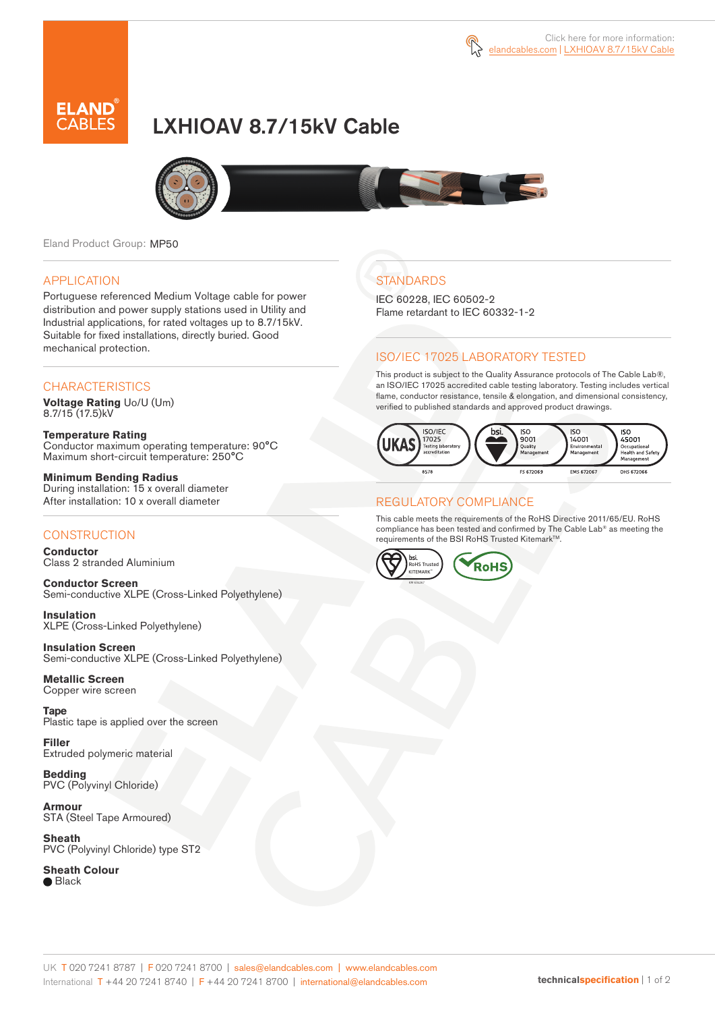

# LXHIOAV 8.7/15kV Cable



Eland Product Group: MP50

#### APPLICATION

Portuguese referenced Medium Voltage cable for power distribution and power supply stations used in Utility and Industrial applications, for rated voltages up to 8.7/15kV. Suitable for fixed installations, directly buried. Good mechanical protection.

### **CHARACTERISTICS**

**Voltage Rating** Uo/U (Um) 8.7/15 (17.5)kV

**Temperature Rating** Conductor maximum operating temperature: 90°C Maximum short-circuit temperature: 250°C

**Minimum Bending Radius** During installation: 15 x overall diameter After installation: 10 x overall diameter

### **CONSTRUCTION**

**Conductor**  Class 2 stranded Aluminium

**Conductor Screen** Semi-conductive XLPE (Cross-Linked Polyethylene)

**Insulation** XLPE (Cross-Linked Polyethylene)

**Insulation Screen** Semi-conductive XLPE (Cross-Linked Polyethylene)

**Metallic Screen**  Copper wire screen

**Tape**  Plastic tape is applied over the screen

**Filler** Extruded polymeric material

**Bedding** PVC (Polyvinyl Chloride)

**Armour** STA (Steel Tape Armoured)

**Sheath** PVC (Polyvinyl Chloride) type ST2

**Sheath Colour ■** Black

# **STANDARDS**

IEC 60228, IEC 60502-2 Flame retardant to IEC 60332-1-2

## ISO/IEC 17025 LABORATORY TESTED

This product is subject to the Quality Assurance protocols of The Cable Lab®, an ISO/IEC 17025 accredited cable testing laboratory. Testing includes vertical flame, conductor resistance, tensile & elongation, and dimensional consistency, verified to published standards and approved product drawings.



#### REGULATORY COMPLIANCE

This cable meets the requirements of the RoHS Directive 2011/65/EU. RoHS compliance has been tested and confirmed by The Cable Lab® as meeting the requirements of the BSI RoHS Trusted Kitemark™.